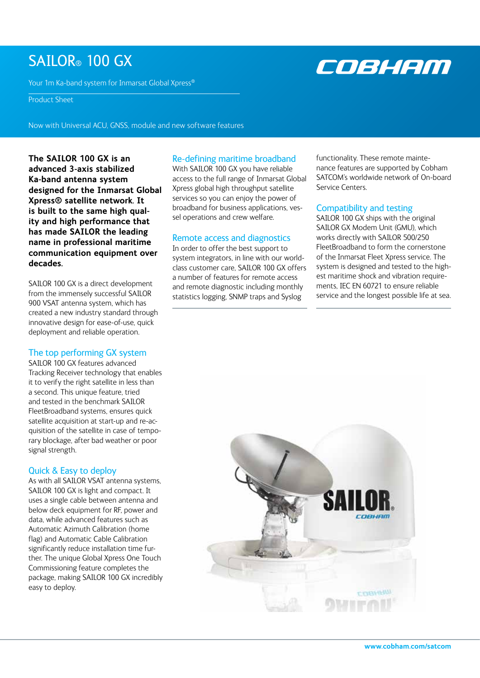## SAILOR® 100 GX

Your 1m Ka-band system for Inmarsat Global Xpress®

## Product Sheet

Now with Universal ACU, GNSS, module and new software features

**The SAILOR 100 GX is an advanced 3-axis stabilized Ka-band antenna system designed for the Inmarsat Global Xpress® satellite network. It is built to the same high quality and high performance that has made SAILOR the leading name in professional maritime communication equipment over decades.** 

SAILOR 100 GX is a direct development from the immensely successful SAILOR 900 VSAT antenna system, which has created a new industry standard through innovative design for ease-of-use, quick deployment and reliable operation.

## The top performing GX system

SAILOR 100 GX features advanced Tracking Receiver technology that enables it to verify the right satellite in less than a second. This unique feature, tried and tested in the benchmark SAILOR FleetBroadband systems, ensures quick satellite acquisition at start-up and re-acquisition of the satellite in case of temporary blockage, after bad weather or poor signal strength.

## Quick & Easy to deploy

As with all SAILOR VSAT antenna systems, SAILOR 100 GX is light and compact. It uses a single cable between antenna and below deck equipment for RF, power and data, while advanced features such as Automatic Azimuth Calibration (home flag) and Automatic Cable Calibration significantly reduce installation time further. The unique Global Xpress One Touch Commissioning feature completes the package, making SAILOR 100 GX incredibly easy to deploy.

## Re-defining maritime broadband

With SAILOR 100 GX you have reliable access to the full range of Inmarsat Global Xpress global high throughput satellite services so you can enjoy the power of broadband for business applications, vessel operations and crew welfare.

## Remote access and diagnostics

In order to offer the best support to system integrators, in line with our worldclass customer care, SAILOR 100 GX offers a number of features for remote access and remote diagnostic including monthly statistics logging, SNMP traps and Syslog

functionality. These remote maintenance features are supported by Cobham SATCOM's worldwide network of On-board Service Centers.

COBHAM

## Compatibility and testing

SAILOR 100 GX ships with the original SAILOR GX Modem Unit (GMU), which works directly with SAILOR 500/250 FleetBroadband to form the cornerstone of the Inmarsat Fleet Xpress service. The system is designed and tested to the highest maritime shock and vibration requirements, IEC EN 60721 to ensure reliable service and the longest possible life at sea.